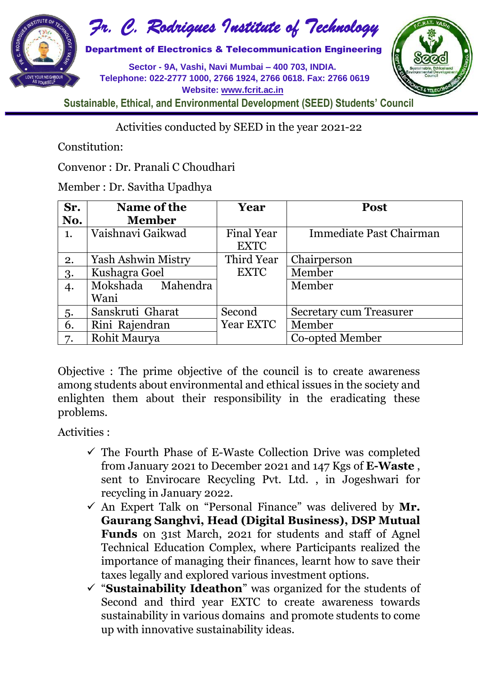

*Fr. C. Rodrigues Institute of Technology*

**Sector - 9A, Vashi, Navi Mumbai – 400 703, INDIA. Telephone: 022-2777 1000, 2766 1924, 2766 0618. Fax: 2766 0619 Website: [www.fcrit.ac.in](http://www.fcrit.ac.in/)**



**Sustainable, Ethical, and Environmental Development (SEED) Students' Council**

Activities conducted by SEED in the year 2021-22

Constitution:

Convenor : Dr. Pranali C Choudhari

Member : Dr. Savitha Upadhya

| Sr. | Name of the        | Year              | <b>Post</b>                    |
|-----|--------------------|-------------------|--------------------------------|
| No. | <b>Member</b>      |                   |                                |
| 1.  | Vaishnavi Gaikwad  | <b>Final Year</b> | Immediate Past Chairman        |
|     |                    | <b>EXTC</b>       |                                |
| 2.  | Yash Ashwin Mistry | Third Year        | Chairperson                    |
| 3.  | Kushagra Goel      | <b>EXTC</b>       | Member                         |
| 4.  | Mokshada Mahendra  |                   | Member                         |
|     | Wani               |                   |                                |
| 5.  | Sanskruti Gharat   | Second            | <b>Secretary cum Treasurer</b> |
| 6.  | Rini Rajendran     | Year EXTC         | Member                         |
| 7.  | Rohit Maurya       |                   | Co-opted Member                |

Objective : The prime objective of the council is to create awareness among students about environmental and ethical issues in the society and enlighten them about their responsibility in the eradicating these problems.

Activities :

- $\checkmark$  The Fourth Phase of E-Waste Collection Drive was completed from January 2021 to December 2021 and 147 Kgs of **E-Waste** , sent to Envirocare Recycling Pvt. Ltd. , in Jogeshwari for recycling in January 2022.
- An Expert Talk on "Personal Finance" was delivered by **Mr. Gaurang Sanghvi, Head (Digital Business), DSP Mutual Funds** on 31st March, 2021 for students and staff of Agnel Technical Education Complex, where Participants realized the importance of managing their finances, learnt how to save their taxes legally and explored various investment options.
- "**Sustainability Ideathon**" was organized for the students of Second and third year EXTC to create awareness towards sustainability in various domains and promote students to come up with innovative sustainability ideas.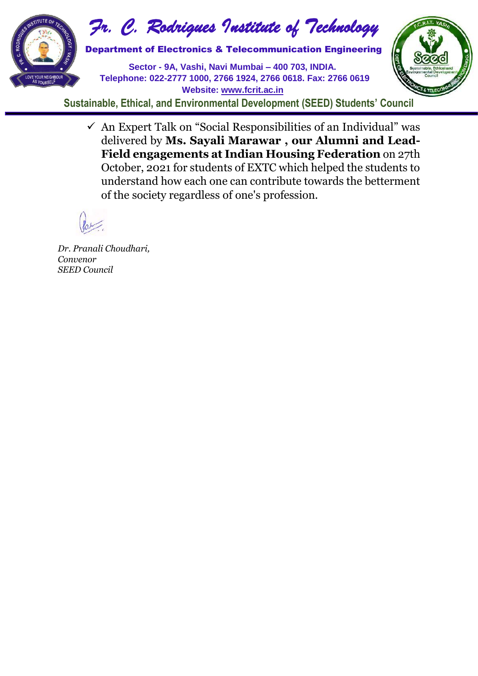

*Fr. C. Rodrigues Institute of Technology*

**Sector - 9A, Vashi, Navi Mumbai – 400 703, INDIA. Telephone: 022-2777 1000, 2766 1924, 2766 0618. Fax: 2766 0619 Website: [www.fcrit.ac.in](http://www.fcrit.ac.in/)**



**Sustainable, Ethical, and Environmental Development (SEED) Students' Council**

 $\checkmark$  An Expert Talk on "Social Responsibilities of an Individual" was delivered by **Ms. Sayali Marawar , our Alumni and Lead-Field engagements at Indian Housing Federation** on 27th October, 2021 for students of EXTC which helped the students to understand how each one can contribute towards the betterment of the society regardless of one's profession.

*Dr. Pranali Choudhari, Convenor SEED Council*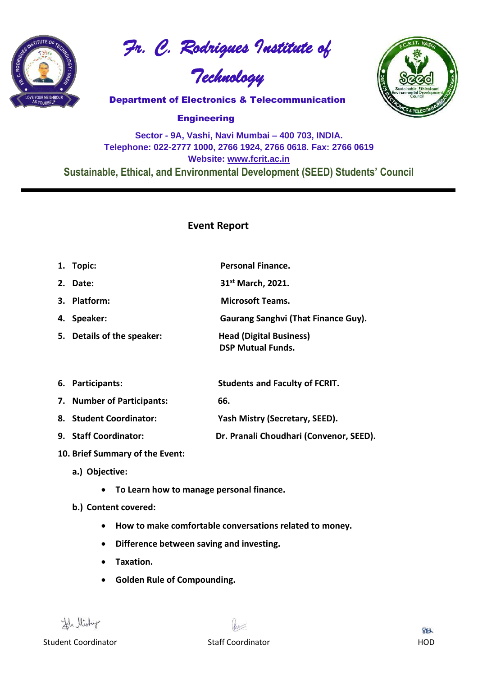

*Fr. C. Rodrigues Institute of* 

*Technology*



**Sector - 9A, Vashi, Navi Mumbai – 400 703, INDIA. Telephone: 022-2777 1000, 2766 1924, 2766 0618. Fax: 2766 0619 Website: [www.fcrit.ac.in](http://www.fcrit.ac.in/) Sustainable, Ethical, and Environmental Development (SEED) Students' Council**

## **Event Report**

| 1. Topic:                  | <b>Personal Finance.</b>                                   |
|----------------------------|------------------------------------------------------------|
| 2. Date:                   | 31 <sup>st</sup> March, 2021.                              |
| 3. Platform:               | <b>Microsoft Teams.</b>                                    |
| 4. Speaker:                | <b>Gaurang Sanghvi (That Finance Guy).</b>                 |
| 5. Details of the speaker: | <b>Head (Digital Business)</b><br><b>DSP Mutual Funds.</b> |
| 6. Participants:           | <b>Students and Faculty of FCRIT.</b>                      |
| 7. Number of Participants: | 66.                                                        |
| 8. Student Coordinator:    | Yash Mistry (Secretary, SEED).                             |
| 9. Staff Coordinator:      | Dr. Pranali Choudhari (Convenor, SEED).                    |
|                            |                                                            |

- **10. Brief Summary of the Event:**
	- **a.) Objective:** 
		- **To Learn how to manage personal finance.**
	- **b.) Content covered:** 
		- **How to make comfortable conversations related to money.**
		- **Difference between saving and investing.**
		- **Taxation.**
		- **Golden Rule of Compounding.**

Hr listur

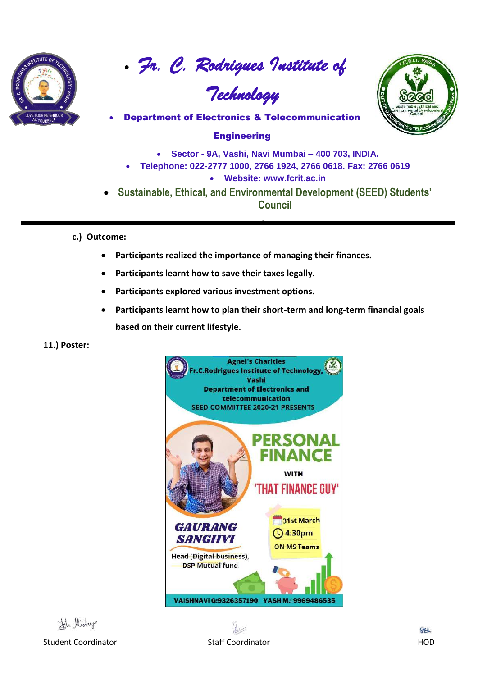

• *Fr. C. Rodrigues Institute of* 

# *Technology*



• Department of Electronics & Telecommunication

## **Engineering**

- **Sector - 9A, Vashi, Navi Mumbai – 400 703, INDIA.**
- **Telephone: 022-2777 1000, 2766 1924, 2766 0618. Fax: 2766 0619**
	- **Website: [www.fcrit.ac.in](http://www.fcrit.ac.in/)**
- **Sustainable, Ethical, and Environmental Development (SEED) Students' Council**

•

- **c.) Outcome:** 
	- **Participants realized the importance of managing their finances.**
	- **Participants learnt how to save their taxes legally.**
	- **Participants explored various investment options.**
	- **Participants learnt how to plan their short-term and long-term financial goals based on their current lifestyle.**

#### **11.) Poster:**



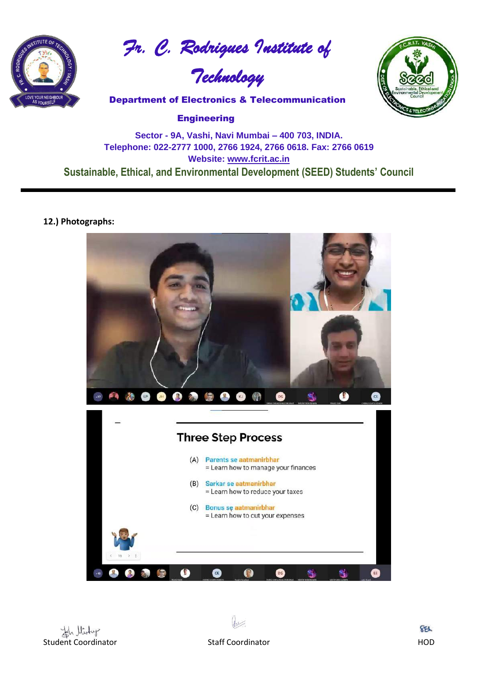

*Fr. C. Rodrigues Institute of* 





# **Sector - 9A, Vashi, Navi Mumbai – 400 703, INDIA. Telephone: 022-2777 1000, 2766 1924, 2766 0618. Fax: 2766 0619 Website: [www.fcrit.ac.in](http://www.fcrit.ac.in/) Sustainable, Ethical, and Environmental Development (SEED) Students' Council**

#### **12.) Photographs:**



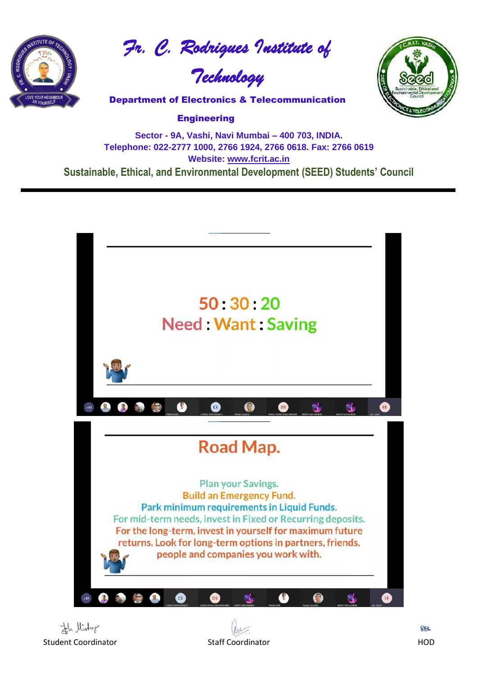

*Fr. C. Rodrigues Institute of* 





**Sector - 9A, Vashi, Navi Mumbai – 400 703, INDIA. Telephone: 022-2777 1000, 2766 1924, 2766 0618. Fax: 2766 0619 Website: [www.fcrit.ac.in](http://www.fcrit.ac.in/) Sustainable, Ethical, and Environmental Development (SEED) Students' Council**

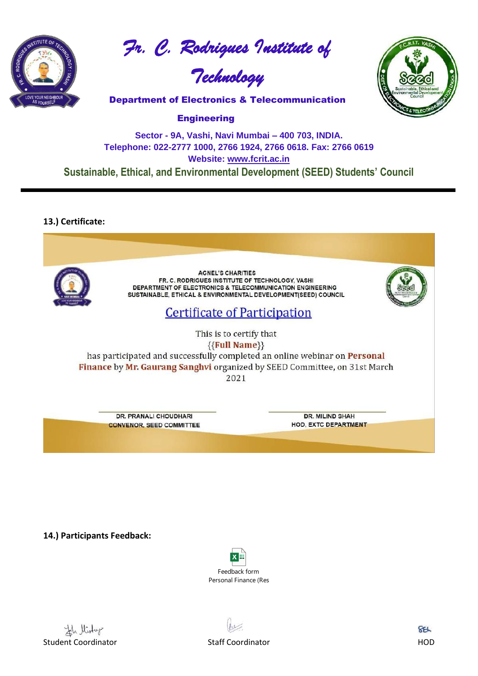

*Fr. C. Rodrigues Institute of* 





**Engineering** 

## **Sector - 9A, Vashi, Navi Mumbai – 400 703, INDIA. Telephone: 022-2777 1000, 2766 1924, 2766 0618. Fax: 2766 0619 Website: [www.fcrit.ac.in](http://www.fcrit.ac.in/) Sustainable, Ethical, and Environmental Development (SEED) Students' Council**

## **13.) Certificate:**



**14.) Participants Feedback:** 





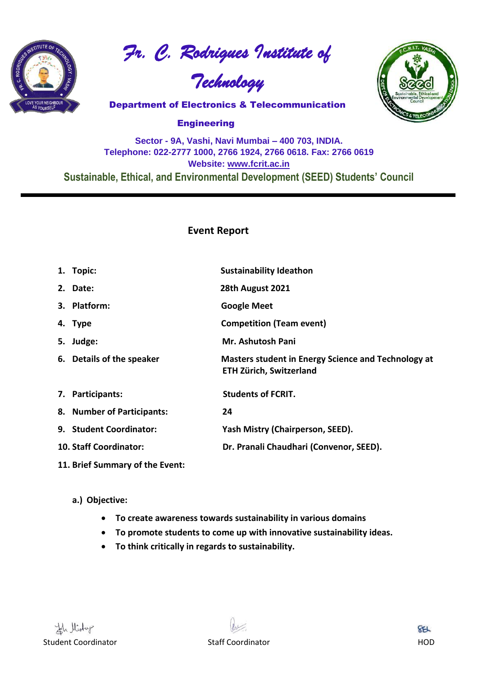

*Fr. C. Rodrigues Institute of* 

*Technology*



**Engineering** 

## **Sector - 9A, Vashi, Navi Mumbai – 400 703, INDIA. Telephone: 022-2777 1000, 2766 1924, 2766 0618. Fax: 2766 0619 Website: [www.fcrit.ac.in](http://www.fcrit.ac.in/) Sustainable, Ethical, and Environmental Development (SEED) Students' Council**

## **Event Report**

| 1. Topic:                     | <b>Sustainability Ideathon</b>                                                        |
|-------------------------------|---------------------------------------------------------------------------------------|
| 2. Date:                      | 28th August 2021                                                                      |
| 3. Platform:                  | <b>Google Meet</b>                                                                    |
| 4. Type                       | <b>Competition (Team event)</b>                                                       |
| 5. Judge:                     | Mr. Ashutosh Pani                                                                     |
| 6. Details of the speaker     | Masters student in Energy Science and Technology at<br><b>ETH Zürich, Switzerland</b> |
| 7. Participants:              | <b>Students of FCRIT.</b>                                                             |
| 8. Number of Participants:    | 24                                                                                    |
| 9. Student Coordinator:       | Yash Mistry (Chairperson, SEED).                                                      |
| <b>10. Staff Coordinator:</b> | Dr. Pranali Chaudhari (Convenor, SEED).                                               |

**11. Brief Summary of the Event:**

#### **a.) Objective:**

- **To create awareness towards sustainability in various domains**
- **To promote students to come up with innovative sustainability ideas.**
- **To think critically in regards to sustainability.**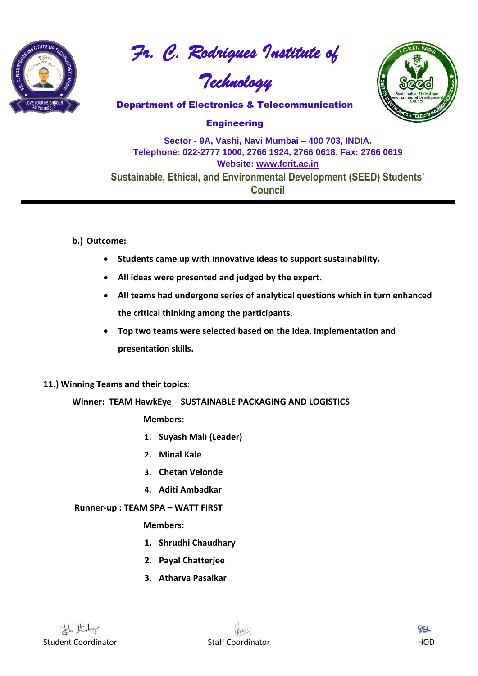

*Fr. C. Rodrigues Institute of* 





**Engineering** 

# **Sector - 9A, Vashi, Navi Mumbai – 400 703, INDIA. Telephone: 022-2777 1000, 2766 1924, 2766 0618. Fax: 2766 0619 Website: [www.fcrit.ac.in](http://www.fcrit.ac.in/) Sustainable, Ethical, and Environmental Development (SEED) Students' Council**

#### **b.) Outcome:**

- **Students came up with innovative ideas to support sustainability.**
- **All ideas were presented and judged by the expert.**
- **All teams had undergone series of analytical questions which in turn enhanced the critical thinking among the participants.**
- **Top two teams were selected based on the idea, implementation and presentation skills.**

#### **11.) Winning Teams and their topics:**

#### **Winner: TEAM HawkEye – SUSTAINABLE PACKAGING AND LOGISTICS**

#### **Members:**

- **1. Suyash Mali (Leader)**
- **2. Minal Kale**
- **3. Chetan Velonde**
- **4. Aditi Ambadkar**

#### **Runner-up : TEAM SPA – WATT FIRST**

#### **Members:**

- **1. Shrudhi Chaudhary**
- **2. Payal Chatterjee**
- **3. Atharva Pasalkar**

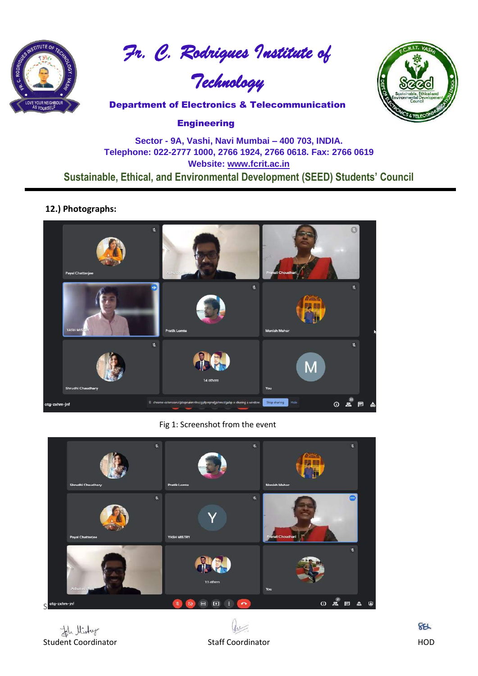

*Fr. C. Rodrigues Institute of* 

*Technology*



**Engineering** 

## **Sector - 9A, Vashi, Navi Mumbai – 400 703, INDIA. Telephone: 022-2777 1000, 2766 1924, 2766 0618. Fax: 2766 0619 Website: [www.fcrit.ac.in](http://www.fcrit.ac.in/) Sustainable, Ethical, and Environmental Development (SEED) Students' Council**

#### **12.) Photographs:**



Fig 1: Screenshot from the event



th llistur Student Coordinator **Staff Coordinator** Staff Coordinator **HOD** 



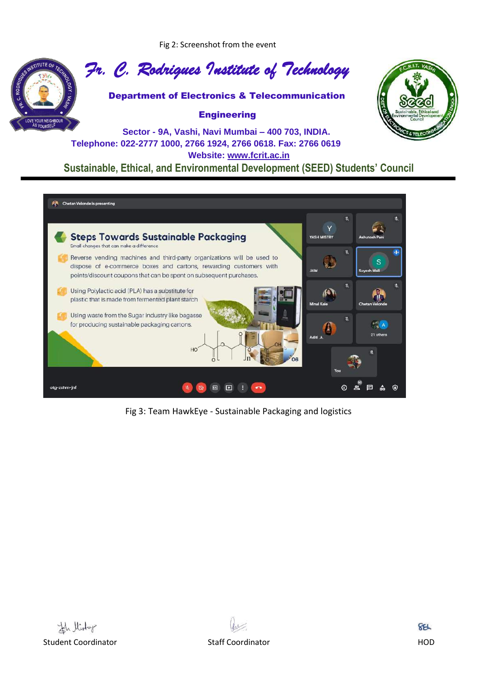Fig 2: Screenshot from the event



*Fr. C. Rodrigues Institute of Technology*

Department of Electronics & Telecommunication

#### **Engineering**



**Sector - 9A, Vashi, Navi Mumbai – 400 703, INDIA. Telephone: 022-2777 1000, 2766 1924, 2766 0618. Fax: 2766 0619 Website: [www.fcrit.ac.in](http://www.fcrit.ac.in/) Sustainable, Ethical, and Environmental Development (SEED) Students' Council**



Fig 3: Team HawkEye - Sustainable Packaging and logistics



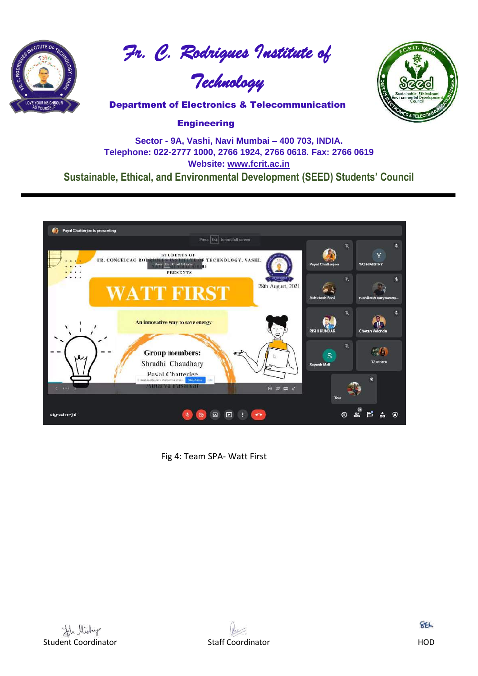

*Fr. C. Rodrigues Institute of* 

*Technology*



#### **Engineering**

## **Sector - 9A, Vashi, Navi Mumbai – 400 703, INDIA. Telephone: 022-2777 1000, 2766 1924, 2766 0618. Fax: 2766 0619 Website: [www.fcrit.ac.in](http://www.fcrit.ac.in/) Sustainable, Ethical, and Environmental Development (SEED) Students' Council**



Fig 4: Team SPA- Watt First

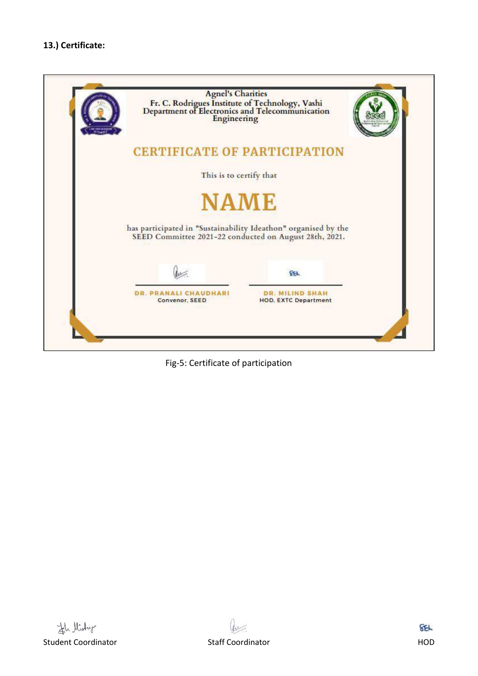

Fig-5: Certificate of participation

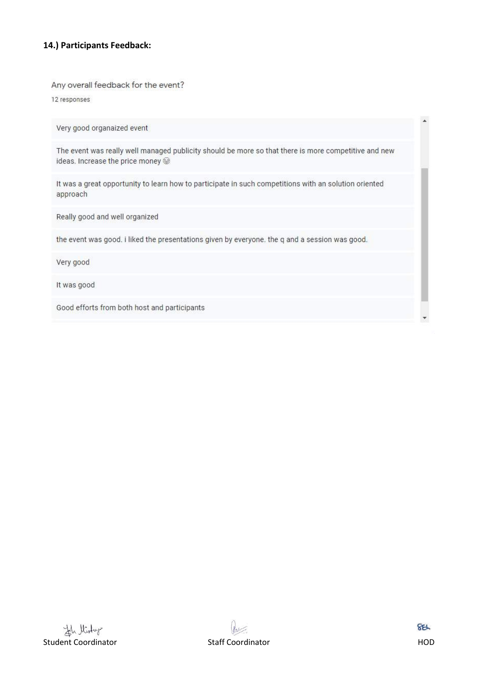#### **14.) Participants Feedback:**

Any overall feedback for the event?

12 responses

Very good organaized event

The event was really well managed publicity should be more so that there is more competitive and new ideas. Increase the price money @

It was a great opportunity to learn how to participate in such competitions with an solution oriented approach

Really good and well organized

the event was good. i liked the presentations given by everyone. the q and a session was good.

Very good

It was good

Good efforts from both host and participants



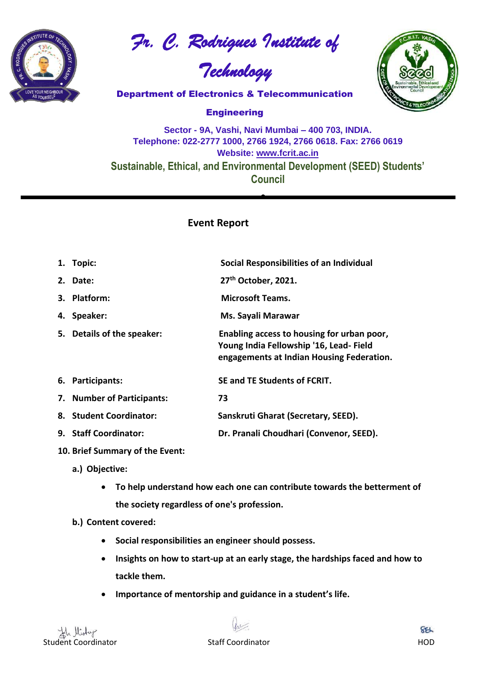

*Fr. C. Rodrigues Institute of* 

*Technology*



**Engineering** 

**Sector - 9A, Vashi, Navi Mumbai – 400 703, INDIA. Telephone: 022-2777 1000, 2766 1924, 2766 0618. Fax: 2766 0619 Website: [www.fcrit.ac.in](http://www.fcrit.ac.in/) Sustainable, Ethical, and Environmental Development (SEED) Students' Council**

•

## **Event Report**

| 1. Topic:                  | Social Responsibilities of an Individual                                                                                          |
|----------------------------|-----------------------------------------------------------------------------------------------------------------------------------|
| 2. Date:                   | 27 <sup>th</sup> October, 2021.                                                                                                   |
| 3. Platform:               | <b>Microsoft Teams.</b>                                                                                                           |
| 4. Speaker:                | Ms. Sayali Marawar                                                                                                                |
| 5. Details of the speaker: | Enabling access to housing for urban poor,<br>Young India Fellowship '16, Lead-Field<br>engagements at Indian Housing Federation. |
| 6. Participants:           | SE and TE Students of FCRIT.                                                                                                      |
| 7. Number of Participants: | 73                                                                                                                                |
| 8. Student Coordinator:    | Sanskruti Gharat (Secretary, SEED).                                                                                               |
| 9. Staff Coordinator:      | Dr. Pranali Choudhari (Convenor, SEED).                                                                                           |
|                            |                                                                                                                                   |

- **10. Brief Summary of the Event:**
	- **a.) Objective:** 
		- **To help understand how each one can contribute towards the betterment of the society regardless of one's profession.**
	- **b.) Content covered:** 
		- **Social responsibilities an engineer should possess.**
		- **Insights on how to start-up at an early stage, the hardships faced and how to tackle them.**
		- **Importance of mentorship and guidance in a student's life.**

and the United States of the States of the States of the States of the States of the States of the States of the States of the States of the States of the States of the HOD



**SEL**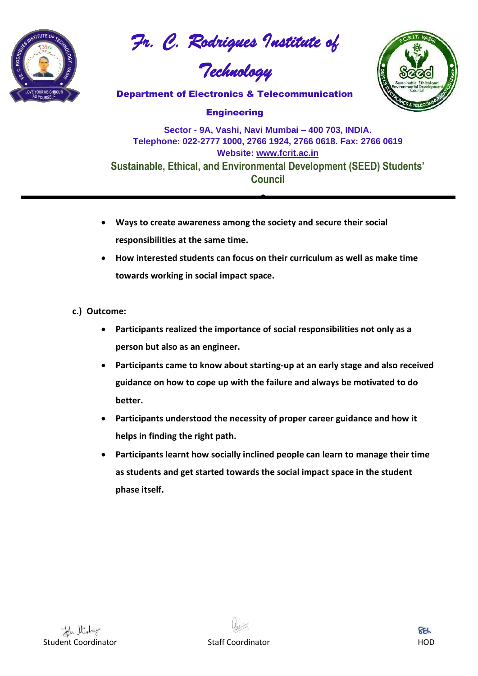

*Fr. C. Rodrigues Institute of* 

*Technology*



**Engineering** 

**Sector - 9A, Vashi, Navi Mumbai – 400 703, INDIA. Telephone: 022-2777 1000, 2766 1924, 2766 0618. Fax: 2766 0619 Website: [www.fcrit.ac.in](http://www.fcrit.ac.in/) Sustainable, Ethical, and Environmental Development (SEED) Students' Council**

•

- **Ways to create awareness among the society and secure their social responsibilities at the same time.**
- **How interested students can focus on their curriculum as well as make time towards working in social impact space.**
- **c.) Outcome:** 
	- **Participants realized the importance of social responsibilities not only as a person but also as an engineer.**
	- **Participants came to know about starting-up at an early stage and also received guidance on how to cope up with the failure and always be motivated to do better.**
	- **Participants understood the necessity of proper career guidance and how it helps in finding the right path.**
	- **Participants learnt how socially inclined people can learn to manage their time as students and get started towards the social impact space in the student phase itself.**



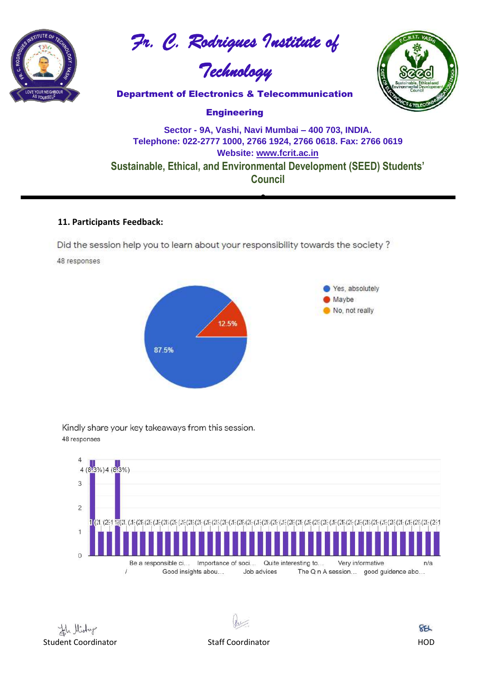

*Fr. C. Rodrigues Institute of* 

*Technology*



**Engineering** 

# **Sector - 9A, Vashi, Navi Mumbai – 400 703, INDIA. Telephone: 022-2777 1000, 2766 1924, 2766 0618. Fax: 2766 0619 Website: [www.fcrit.ac.in](http://www.fcrit.ac.in/) Sustainable, Ethical, and Environmental Development (SEED) Students' Council**

•

#### **11. Participants Feedback:**

Did the session help you to learn about your responsibility towards the society?

48 responses



Kindly share your key takeaways from this session. 48 responses